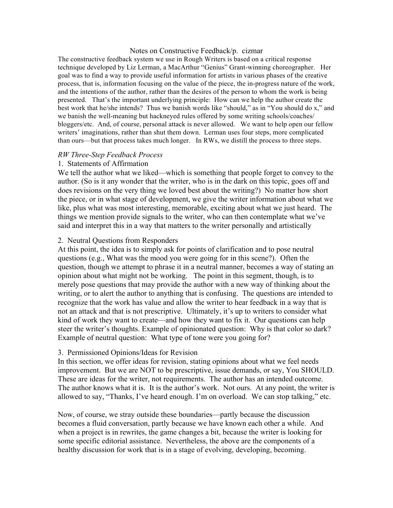#### Notes on Constructive Feedback/p. cizmar

The constructive feedback system we use in Rough Writers is based on a critical response technique developed by Liz Lerman, a MacArthur "Genius" Grant-winning choreographer. Her goal was to find a way to provide useful information for artists in various phases of the creative process, that is, information focusing on the value of the piece, the in-progress nature of the work, and the intentions of the author, rather than the desires of the person to whom the work is being presented. That's the important underlying principle: How can we help the author create the best work that he/she intends? Thus we banish words like "should," as in "You should do x," and we banish the well-meaning but hackneyed rules offered by some writing schools/coaches/ bloggers/etc. And, of course, personal attack is never allowed. We want to help open our fellow writers' imaginations, rather than shut them down. Lerman uses four steps, more complicated than ours—but that process takes much longer. In RWs, we distill the process to three steps.

### *RW Three-Step Feedback Process*

### 1. Statements of Affirmation

We tell the author what we liked—which is something that people forget to convey to the author. (So is it any wonder that the writer, who is in the dark on this topic, goes off and does revisions on the very thing we loved best about the writing?) No matter how short the piece, or in what stage of development, we give the writer information about what we like, plus what was most interesting, memorable, exciting about what we just heard. The things we mention provide signals to the writer, who can then contemplate what we've said and interpret this in a way that matters to the writer personally and artistically

### 2. Neutral Questions from Responders

At this point, the idea is to simply ask for points of clarification and to pose neutral questions (e.g., What was the mood you were going for in this scene?). Often the question, though we attempt to phrase it in a neutral manner, becomes a way of stating an opinion about what might not be working. The point in this segment, though, is to merely pose questions that may provide the author with a new way of thinking about the writing, or to alert the author to anything that is confusing. The questions are intended to recognize that the work has value and allow the writer to hear feedback in a way that is not an attack and that is not prescriptive. Ultimately, it's up to writers to consider what kind of work they want to create—and how they want to fix it. Our questions can help steer the writer's thoughts. Example of opinionated question: Why is that color so dark? Example of neutral question: What type of tone were you going for?

#### 3. Permissioned Opinions/Ideas for Revision

In this section, we offer ideas for revision, stating opinions about what we feel needs improvement. But we are NOT to be prescriptive, issue demands, or say, You SHOULD. These are ideas for the writer, not requirements. The author has an intended outcome. The author knows what it is. It is the author's work. Not ours. At any point, the writer is allowed to say, "Thanks, I've heard enough. I'm on overload. We can stop talking," etc.

Now, of course, we stray outside these boundaries—partly because the discussion becomes a fluid conversation, partly because we have known each other a while. And when a project is in rewrites, the game changes a bit, because the writer is looking for some specific editorial assistance. Nevertheless, the above are the components of a healthy discussion for work that is in a stage of evolving, developing, becoming.